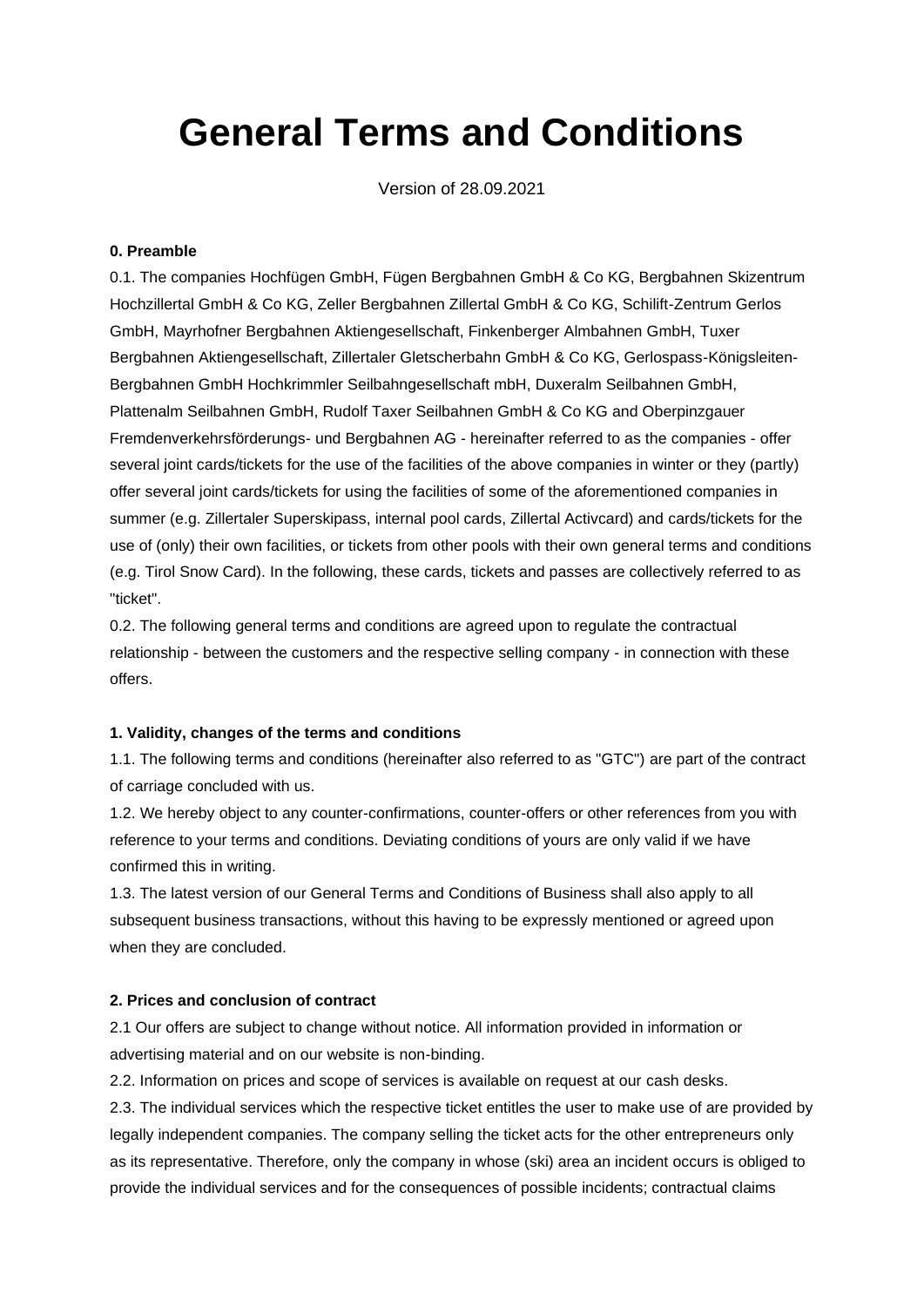# **General Terms and Conditions**

Version of 28.09.2021

# **0. Preamble**

0.1. The companies Hochfügen GmbH, Fügen Bergbahnen GmbH & Co KG, Bergbahnen Skizentrum Hochzillertal GmbH & Co KG, Zeller Bergbahnen Zillertal GmbH & Co KG, Schilift-Zentrum Gerlos GmbH, Mayrhofner Bergbahnen Aktiengesellschaft, Finkenberger Almbahnen GmbH, Tuxer Bergbahnen Aktiengesellschaft, Zillertaler Gletscherbahn GmbH & Co KG, Gerlospass-Königsleiten-Bergbahnen GmbH Hochkrimmler Seilbahngesellschaft mbH, Duxeralm Seilbahnen GmbH, Plattenalm Seilbahnen GmbH, Rudolf Taxer Seilbahnen GmbH & Co KG and Oberpinzgauer Fremdenverkehrsförderungs- und Bergbahnen AG - hereinafter referred to as the companies - offer several joint cards/tickets for the use of the facilities of the above companies in winter or they (partly) offer several joint cards/tickets for using the facilities of some of the aforementioned companies in summer (e.g. Zillertaler Superskipass, internal pool cards, Zillertal Activcard) and cards/tickets for the use of (only) their own facilities, or tickets from other pools with their own general terms and conditions (e.g. Tirol Snow Card). In the following, these cards, tickets and passes are collectively referred to as "ticket".

0.2. The following general terms and conditions are agreed upon to regulate the contractual relationship - between the customers and the respective selling company - in connection with these offers.

#### **1. Validity, changes of the terms and conditions**

1.1. The following terms and conditions (hereinafter also referred to as "GTC") are part of the contract of carriage concluded with us.

1.2. We hereby object to any counter-confirmations, counter-offers or other references from you with reference to your terms and conditions. Deviating conditions of yours are only valid if we have confirmed this in writing.

1.3. The latest version of our General Terms and Conditions of Business shall also apply to all subsequent business transactions, without this having to be expressly mentioned or agreed upon when they are concluded.

#### **2. Prices and conclusion of contract**

2.1 Our offers are subject to change without notice. All information provided in information or advertising material and on our website is non-binding.

2.2. Information on prices and scope of services is available on request at our cash desks.

2.3. The individual services which the respective ticket entitles the user to make use of are provided by legally independent companies. The company selling the ticket acts for the other entrepreneurs only as its representative. Therefore, only the company in whose (ski) area an incident occurs is obliged to provide the individual services and for the consequences of possible incidents; contractual claims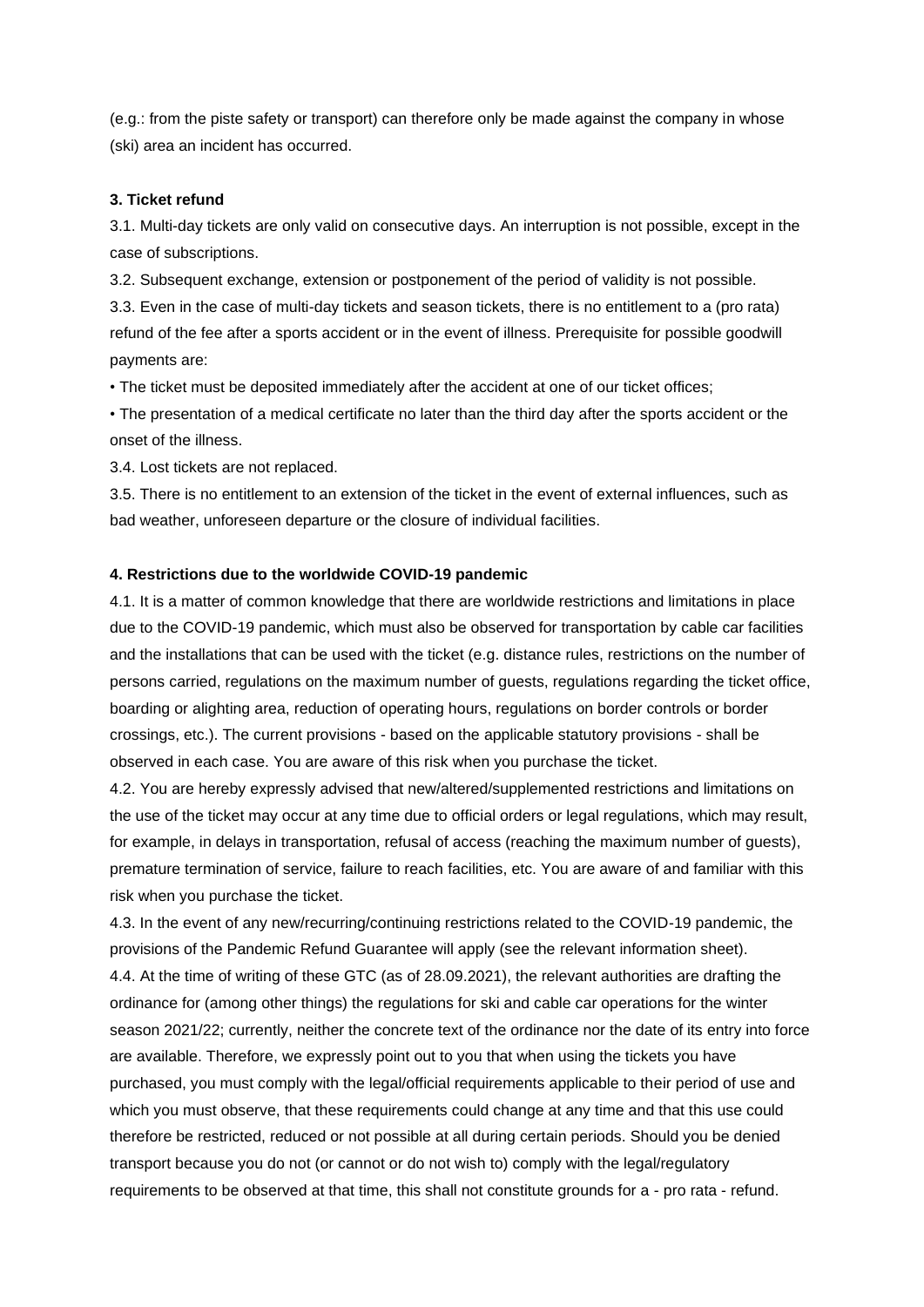(e.g.: from the piste safety or transport) can therefore only be made against the company in whose (ski) area an incident has occurred.

#### **3. Ticket refund**

3.1. Multi-day tickets are only valid on consecutive days. An interruption is not possible, except in the case of subscriptions.

3.2. Subsequent exchange, extension or postponement of the period of validity is not possible. 3.3. Even in the case of multi-day tickets and season tickets, there is no entitlement to a (pro rata) refund of the fee after a sports accident or in the event of illness. Prerequisite for possible goodwill payments are:

• The ticket must be deposited immediately after the accident at one of our ticket offices;

• The presentation of a medical certificate no later than the third day after the sports accident or the onset of the illness.

3.4. Lost tickets are not replaced.

3.5. There is no entitlement to an extension of the ticket in the event of external influences, such as bad weather, unforeseen departure or the closure of individual facilities.

#### **4. Restrictions due to the worldwide COVID-19 pandemic**

4.1. It is a matter of common knowledge that there are worldwide restrictions and limitations in place due to the COVID-19 pandemic, which must also be observed for transportation by cable car facilities and the installations that can be used with the ticket (e.g. distance rules, restrictions on the number of persons carried, regulations on the maximum number of guests, regulations regarding the ticket office, boarding or alighting area, reduction of operating hours, regulations on border controls or border crossings, etc.). The current provisions - based on the applicable statutory provisions - shall be observed in each case. You are aware of this risk when you purchase the ticket.

4.2. You are hereby expressly advised that new/altered/supplemented restrictions and limitations on the use of the ticket may occur at any time due to official orders or legal regulations, which may result, for example, in delays in transportation, refusal of access (reaching the maximum number of guests), premature termination of service, failure to reach facilities, etc. You are aware of and familiar with this risk when you purchase the ticket.

4.3. In the event of any new/recurring/continuing restrictions related to the COVID-19 pandemic, the provisions of the Pandemic Refund Guarantee will apply (see the relevant information sheet). 4.4. At the time of writing of these GTC (as of 28.09.2021), the relevant authorities are drafting the ordinance for (among other things) the regulations for ski and cable car operations for the winter season 2021/22; currently, neither the concrete text of the ordinance nor the date of its entry into force are available. Therefore, we expressly point out to you that when using the tickets you have purchased, you must comply with the legal/official requirements applicable to their period of use and which you must observe, that these requirements could change at any time and that this use could therefore be restricted, reduced or not possible at all during certain periods. Should you be denied transport because you do not (or cannot or do not wish to) comply with the legal/regulatory requirements to be observed at that time, this shall not constitute grounds for a - pro rata - refund.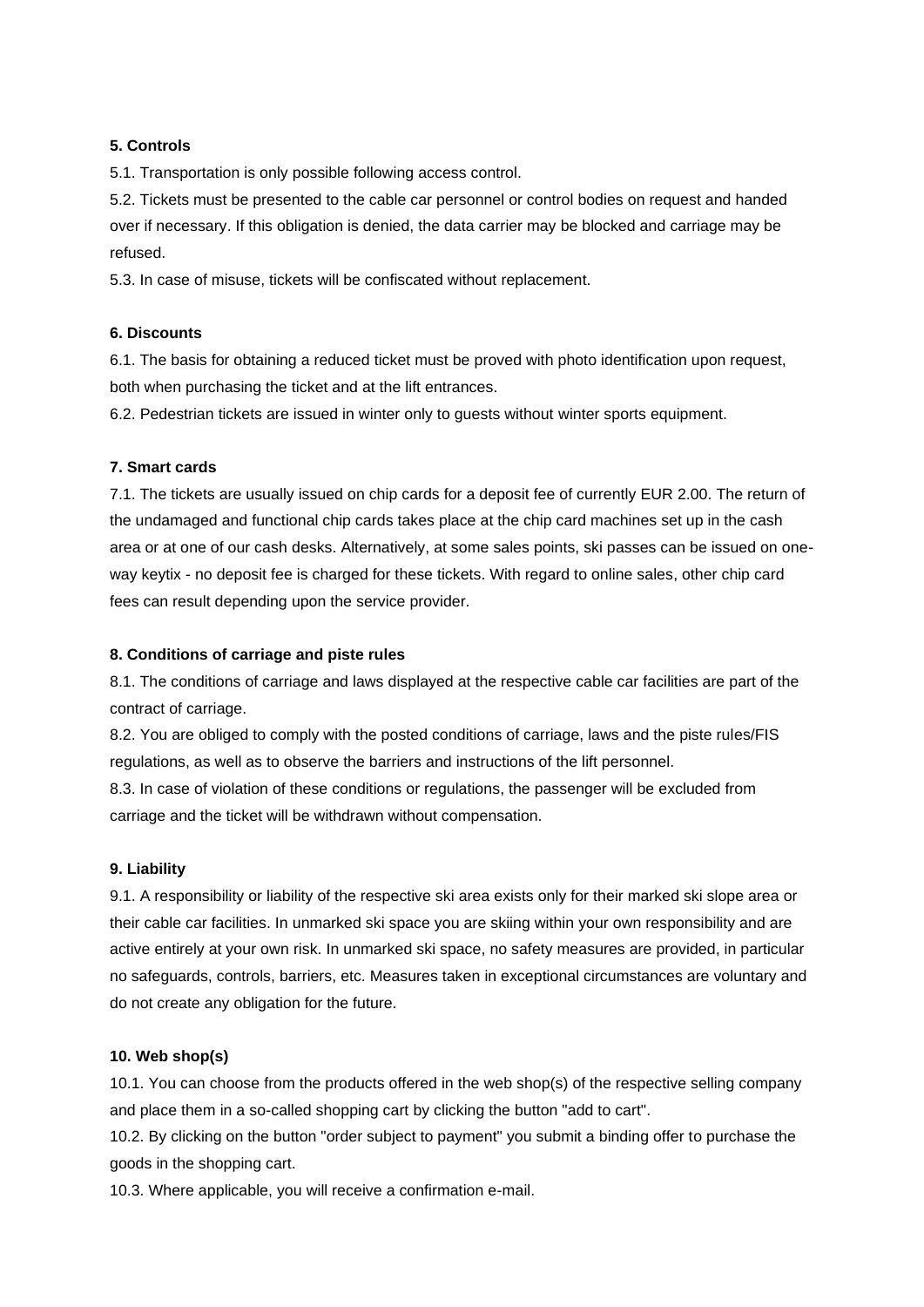# **5. Controls**

5.1. Transportation is only possible following access control.

5.2. Tickets must be presented to the cable car personnel or control bodies on request and handed over if necessary. If this obligation is denied, the data carrier may be blocked and carriage may be refused.

5.3. In case of misuse, tickets will be confiscated without replacement.

# **6. Discounts**

6.1. The basis for obtaining a reduced ticket must be proved with photo identification upon request, both when purchasing the ticket and at the lift entrances.

6.2. Pedestrian tickets are issued in winter only to guests without winter sports equipment.

# **7. Smart cards**

7.1. The tickets are usually issued on chip cards for a deposit fee of currently EUR 2.00. The return of the undamaged and functional chip cards takes place at the chip card machines set up in the cash area or at one of our cash desks. Alternatively, at some sales points, ski passes can be issued on oneway keytix - no deposit fee is charged for these tickets. With regard to online sales, other chip card fees can result depending upon the service provider.

# **8. Conditions of carriage and piste rules**

8.1. The conditions of carriage and laws displayed at the respective cable car facilities are part of the contract of carriage.

8.2. You are obliged to comply with the posted conditions of carriage, laws and the piste rules/FIS regulations, as well as to observe the barriers and instructions of the lift personnel.

8.3. In case of violation of these conditions or regulations, the passenger will be excluded from carriage and the ticket will be withdrawn without compensation.

# **9. Liability**

9.1. A responsibility or liability of the respective ski area exists only for their marked ski slope area or their cable car facilities. In unmarked ski space you are skiing within your own responsibility and are active entirely at your own risk. In unmarked ski space, no safety measures are provided, in particular no safeguards, controls, barriers, etc. Measures taken in exceptional circumstances are voluntary and do not create any obligation for the future.

# **10. Web shop(s)**

10.1. You can choose from the products offered in the web shop(s) of the respective selling company and place them in a so-called shopping cart by clicking the button "add to cart".

10.2. By clicking on the button "order subject to payment" you submit a binding offer to purchase the goods in the shopping cart.

10.3. Where applicable, you will receive a confirmation e-mail.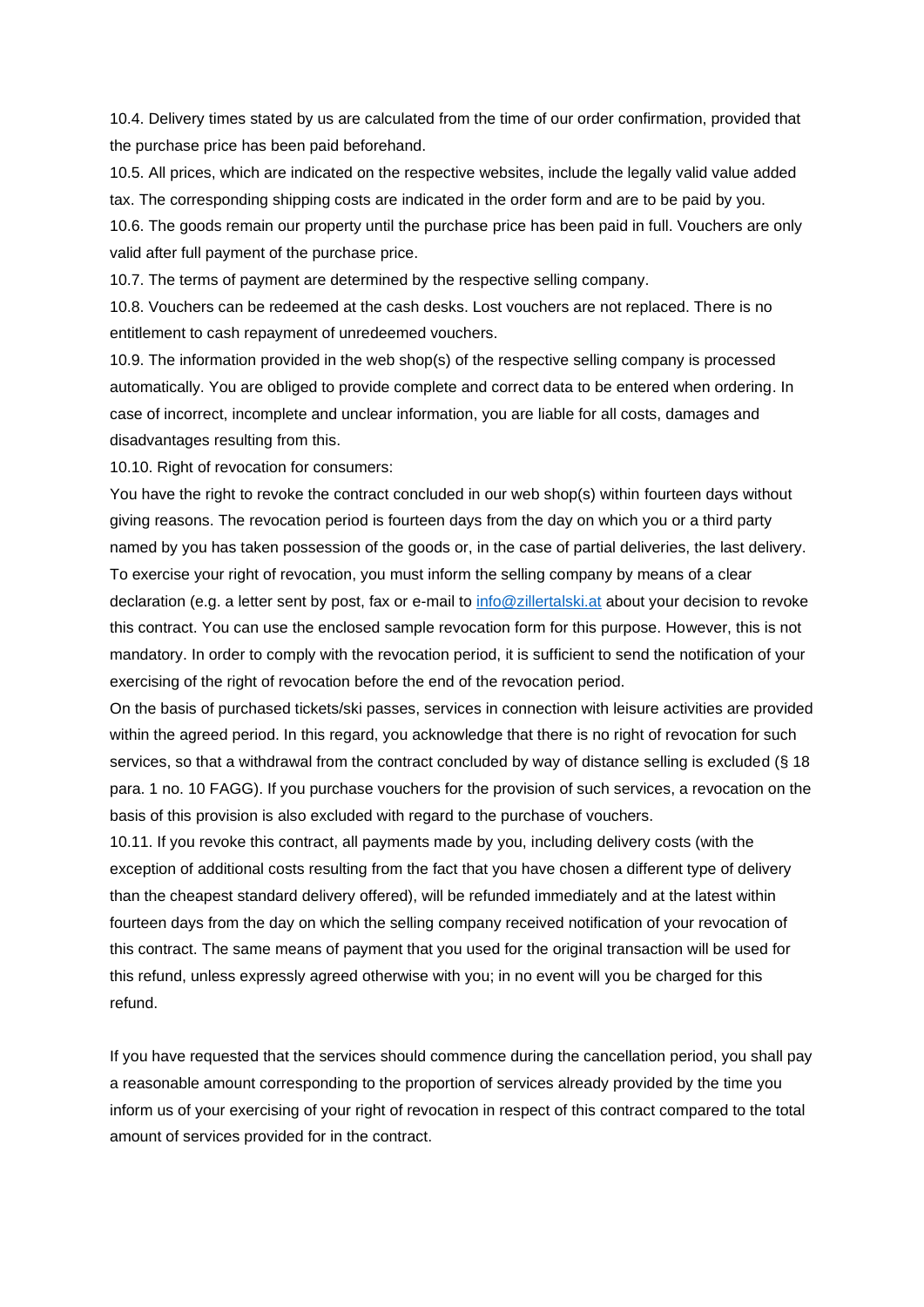10.4. Delivery times stated by us are calculated from the time of our order confirmation, provided that the purchase price has been paid beforehand.

10.5. All prices, which are indicated on the respective websites, include the legally valid value added tax. The corresponding shipping costs are indicated in the order form and are to be paid by you. 10.6. The goods remain our property until the purchase price has been paid in full. Vouchers are only valid after full payment of the purchase price.

10.7. The terms of payment are determined by the respective selling company.

10.8. Vouchers can be redeemed at the cash desks. Lost vouchers are not replaced. There is no entitlement to cash repayment of unredeemed vouchers.

10.9. The information provided in the web shop(s) of the respective selling company is processed automatically. You are obliged to provide complete and correct data to be entered when ordering. In case of incorrect, incomplete and unclear information, you are liable for all costs, damages and disadvantages resulting from this.

10.10. Right of revocation for consumers:

You have the right to revoke the contract concluded in our web shop(s) within fourteen days without giving reasons. The revocation period is fourteen days from the day on which you or a third party named by you has taken possession of the goods or, in the case of partial deliveries, the last delivery. To exercise your right of revocation, you must inform the selling company by means of a clear declaration (e.g. a letter sent by post, fax or e-mail to [info@zillertalski.at](mailto:info@zillertalski.at) about your decision to revoke this contract. You can use the enclosed sample revocation form for this purpose. However, this is not mandatory. In order to comply with the revocation period, it is sufficient to send the notification of your exercising of the right of revocation before the end of the revocation period.

On the basis of purchased tickets/ski passes, services in connection with leisure activities are provided within the agreed period. In this regard, you acknowledge that there is no right of revocation for such services, so that a withdrawal from the contract concluded by way of distance selling is excluded (§ 18 para. 1 no. 10 FAGG). If you purchase vouchers for the provision of such services, a revocation on the basis of this provision is also excluded with regard to the purchase of vouchers.

10.11. If you revoke this contract, all payments made by you, including delivery costs (with the exception of additional costs resulting from the fact that you have chosen a different type of delivery than the cheapest standard delivery offered), will be refunded immediately and at the latest within fourteen days from the day on which the selling company received notification of your revocation of this contract. The same means of payment that you used for the original transaction will be used for this refund, unless expressly agreed otherwise with you; in no event will you be charged for this refund.

If you have requested that the services should commence during the cancellation period, you shall pay a reasonable amount corresponding to the proportion of services already provided by the time you inform us of your exercising of your right of revocation in respect of this contract compared to the total amount of services provided for in the contract.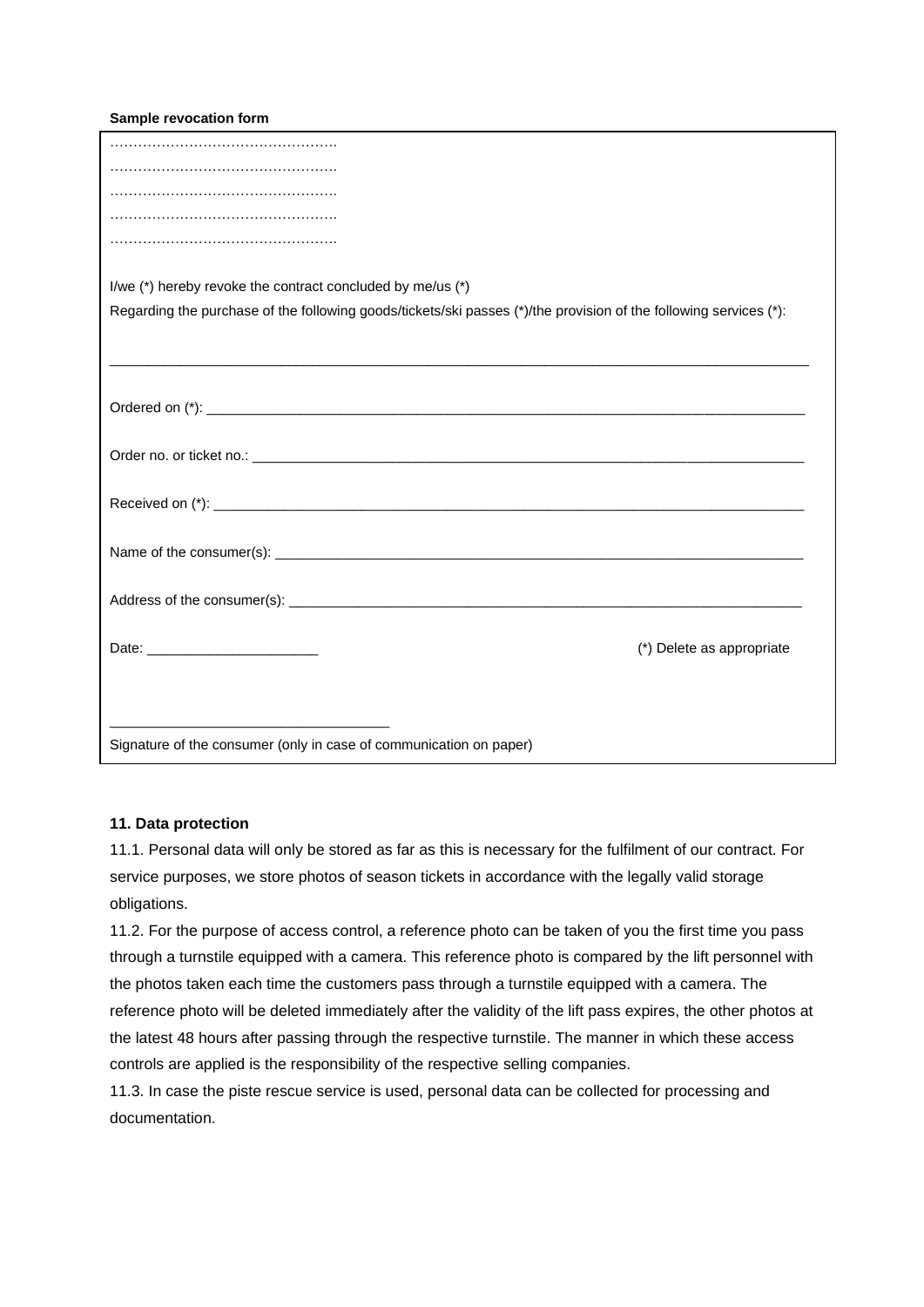**Sample revocation form**

| I/we (*) hereby revoke the contract concluded by me/us (*)                                                        |
|-------------------------------------------------------------------------------------------------------------------|
| Regarding the purchase of the following goods/tickets/ski passes (*)/the provision of the following services (*): |
|                                                                                                                   |
|                                                                                                                   |
|                                                                                                                   |
|                                                                                                                   |
|                                                                                                                   |
|                                                                                                                   |
|                                                                                                                   |
|                                                                                                                   |
|                                                                                                                   |
|                                                                                                                   |
|                                                                                                                   |
|                                                                                                                   |
|                                                                                                                   |
| (*) Delete as appropriate                                                                                         |
|                                                                                                                   |
|                                                                                                                   |
|                                                                                                                   |
| Signature of the consumer (only in case of communication on paper)                                                |

#### **11. Data protection**

11.1. Personal data will only be stored as far as this is necessary for the fulfilment of our contract. For service purposes, we store photos of season tickets in accordance with the legally valid storage obligations.

11.2. For the purpose of access control, a reference photo can be taken of you the first time you pass through a turnstile equipped with a camera. This reference photo is compared by the lift personnel with the photos taken each time the customers pass through a turnstile equipped with a camera. The reference photo will be deleted immediately after the validity of the lift pass expires, the other photos at the latest 48 hours after passing through the respective turnstile. The manner in which these access controls are applied is the responsibility of the respective selling companies.

11.3. In case the piste rescue service is used, personal data can be collected for processing and documentation.